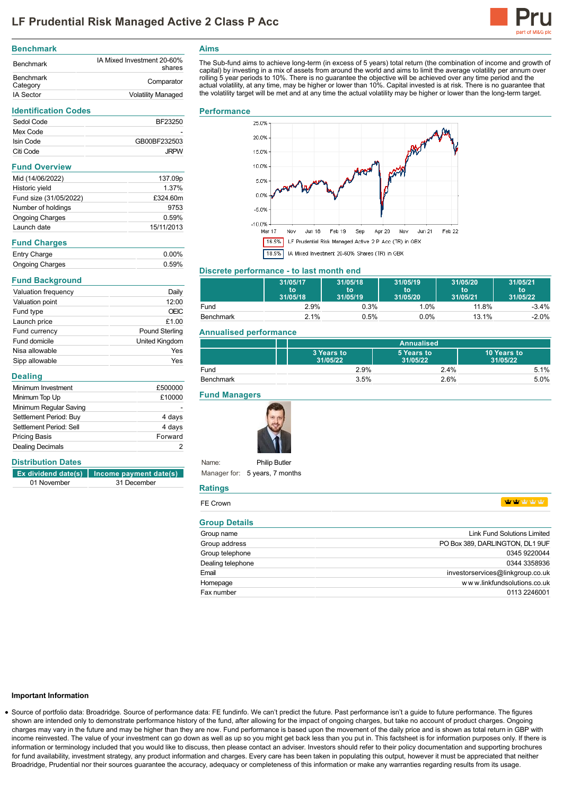

#### **Benchmark** Benchmark IA Mixed Investment 20-60% shares Benchmark<br>Category Comparator IA Sector **Volatility Managed**

#### **Identification Codes**

| Sedol Code | BF23250      |
|------------|--------------|
| Mex Code   |              |
| Isin Code  | GB00BF232503 |
| Citi Code  | <b>.JRPW</b> |

# **Fund Overview**

| Mid (14/06/2022)       | 137.09p    |
|------------------------|------------|
| Historic yield         | 1.37%      |
| Fund size (31/05/2022) | £324.60m   |
| Number of holdings     | 9753       |
| <b>Ongoing Charges</b> | 0.59%      |
| Launch date            | 15/11/2013 |

### **Fund Charges**

| Entry Charge           | $0.00\%$ |
|------------------------|----------|
| <b>Ongoing Charges</b> | 0.59%    |

# **Fund Background**

| Valuation frequency | Daily                 |
|---------------------|-----------------------|
| Valuation point     | 12:00                 |
| Fund type           | <b>OEIC</b>           |
| Launch price        | £1.00                 |
| Fund currency       | <b>Pound Sterling</b> |
| Fund domicile       | <b>United Kingdom</b> |
| Nisa allowable      | Yes                   |
| Sipp allowable      | Yes                   |

### **Dealing**

| £500000 |
|---------|
| £10000  |
|         |
| 4 days  |
| 4 days  |
| Forward |
|         |
|         |

# **Distribution Dates**

|             | $\left  \right $ Ex dividend date(s)   Income payment date(s) |
|-------------|---------------------------------------------------------------|
| 01 November | 31 December                                                   |

# **Aims**

The Sub-fund aims to achieve long-term (in excess of 5 years) total return (the combination of income and growth of capital) by investing in a mix of assets from around the world and aims to limit the average volatility per annum over rolling 5 year periods to 10%. There is no guarantee the objective will be achieved over any time period and the<br>actual volatility, at any time, may be higher or lower than 10%. Capital invested is at risk. There is no gua the volatility target will be met and at any time the actual volatility may be higher or lower than the long-term target.

### **Performance**



# **Discrete performance - to last month end**

|                  | 31/05/17<br>to<br>31/05/18 | 31/05/18<br>to<br>31/05/19 | 31/05/19<br>to<br>31/05/20 | 31/05/20<br>to<br>31/05/21 | 31/05/21<br>to<br>31/05/22 |
|------------------|----------------------------|----------------------------|----------------------------|----------------------------|----------------------------|
| Fund             | 2.9%                       | 0.3%                       | 1.0%                       | 11.8%                      | $-3.4%$                    |
| <b>Benchmark</b> | 2.1%                       | 0.5%                       | 0.0%                       | 13.1%                      | $-2.0%$                    |

# **Annualised performance**

|           | Annualised             |                        |                         |
|-----------|------------------------|------------------------|-------------------------|
|           | 3 Years to<br>31/05/22 | 5 Years to<br>31/05/22 | 10 Years to<br>31/05/22 |
| Fund      | 2.9%                   | 2.4%                   | 5.1%                    |
| Benchmark | 3.5%                   | 2.6%                   | 5.0%                    |

# **Fund Managers**



Name: Manager for: 5 years, 7 months **Philip Butler** 

#### **Ratings**

| FE Crown             | vir vir vir vir vir.               |
|----------------------|------------------------------------|
| <b>Group Details</b> |                                    |
| Group name           | <b>Link Fund Solutions Limited</b> |
| Group address        | PO Box 389, DARLINGTON, DL1 9UF    |
| Group telephone      | 0345 9220044                       |
| Dealing telephone    | 0344 3358936                       |
| Email                | investorservices@linkgroup.co.uk   |
| Homepage             | www.linkfundsolutions.co.uk        |
| Fax number           | 0113 2246001                       |

#### **Important Information**

Source of portfolio data: Broadridge. Source of performance data: FE fundinfo. We can't predict the future. Past performance isn't a guide to future performance. The figures shown are intended only to demonstrate performance history of the fund, after allowing for the impact of ongoing charges, but take no account of product charges. Ongoing charges may vary in the future and may be higher than they are now. Fund performance is based upon the movement of the daily price and is shown as total return in GBP with income reinvested. The value of your investment can go down as well as up so you might get back less than you put in. This factsheet is for information purposes only. If there is information or terminology included that you would like to discuss, then please contact an adviser. Investors should refer to their policy documentation and supporting brochures for fund availability, investment strategy, any product information and charges. Every care has been taken in populating this output, however it must be appreciated that neither Broadridge, Prudential nor their sources guarantee the accuracy, adequacy or completeness of this information or make any warranties regarding results from its usage.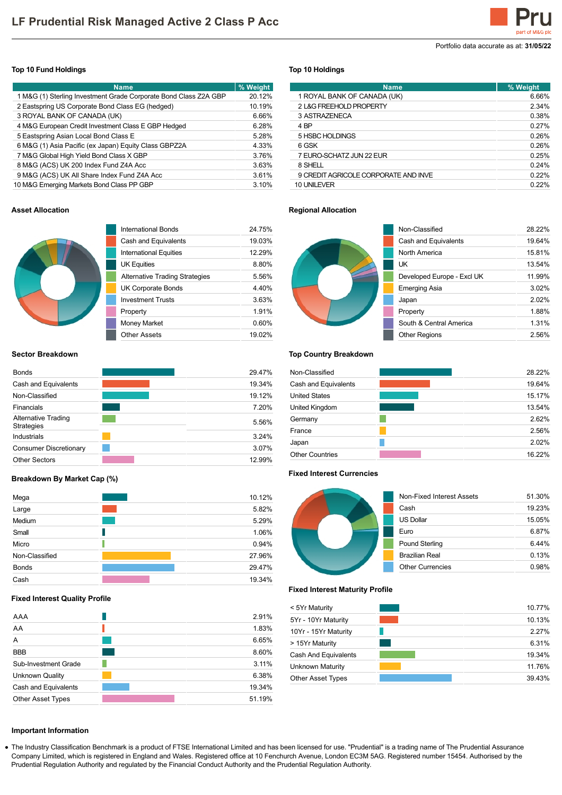Portfolio data accurate as at: **31/05/22**

# **Top 10 Fund Holdings**

| <b>Name</b>                                                      | % Weight |
|------------------------------------------------------------------|----------|
| 1 M&G (1) Sterling Investment Grade Corporate Bond Class Z2A GBP | 20.12%   |
| 2 Eastspring US Corporate Bond Class EG (hedged)                 | 10.19%   |
| 3 ROYAL BANK OF CANADA (UK)                                      | 6.66%    |
| 4 M&G European Credit Investment Class E GBP Hedged              | 6.28%    |
| 5 Eastspring Asian Local Bond Class E                            | 5.28%    |
| 6 M&G (1) Asia Pacific (ex Japan) Equity Class GBPZ2A            | 4.33%    |
| 7 M&G Global High Yield Bond Class X GBP                         | 3.76%    |
| 8 M&G (ACS) UK 200 Index Fund Z4A Acc                            | 3.63%    |
| 9 M&G (ACS) UK All Share Index Fund Z4A Acc                      | 3.61%    |
| 10 M&G Emerging Markets Bond Class PP GBP                        | 3.10%    |

# **Top 10 Holdings**

| <b>Name</b>                          | % Weight |
|--------------------------------------|----------|
| 1 ROYAL BANK OF CANADA (UK)          | 6.66%    |
| 2 L&G FREEHOLD PROPERTY              | 2.34%    |
| 3 ASTRAZENECA                        | 0.38%    |
| 4 BP                                 | 0.27%    |
| 5 HSBC HOLDINGS                      | 0.26%    |
| 6 GSK                                | 0.26%    |
| 7 EURO-SCHATZ JUN 22 EUR             | 0.25%    |
| 8 SHELL                              | 0.24%    |
| 9 CREDIT AGRICOLE CORPORATE AND INVE | 0.22%    |
| 10 UNILEVER                          | 0.22%    |

# **Asset Allocation**



| International Bonds                   | 24 75% |
|---------------------------------------|--------|
| Cash and Equivalents                  | 19.03% |
| International Equities                | 12 29% |
| <b>UK Equities</b>                    | 8.80%  |
| <b>Alternative Trading Strategies</b> | 5.56%  |
| UK Corporate Bonds                    | 4.40%  |
| <b>Investment Trusts</b>              | 363%   |
| Property                              | 1.91%  |
| <b>Money Market</b>                   | 0.60%  |
| Other Assets                          | 19.02% |

# **Sector Breakdown**

| <b>Bonds</b>                             | 29.47% |
|------------------------------------------|--------|
| Cash and Equivalents                     | 19.34% |
| Non-Classified                           | 19.12% |
| Financials                               | 7.20%  |
| Alternative Trading<br><b>Strategies</b> | 5.56%  |
| Industrials                              | 3.24%  |
| <b>Consumer Discretionary</b>            | 3.07%  |
| <b>Other Sectors</b>                     | 12.99% |

# **Breakdown By Market Cap (%)**

| Mega           | 10.12% |
|----------------|--------|
| Large          | 5.82%  |
| Medium         | 5.29%  |
| Small          | 1.06%  |
| Micro          | 0.94%  |
| Non-Classified | 27.96% |
| <b>Bonds</b>   | 29.47% |
| Cash           | 19.34% |

### **Fixed Interest Quality Profile**

| AAA                      | 2.91%  |
|--------------------------|--------|
| AA                       | 1.83%  |
| A                        | 6.65%  |
| <b>BBB</b>               | 8.60%  |
| Sub-Investment Grade     | 3.11%  |
| <b>Unknown Quality</b>   | 6.38%  |
| Cash and Equivalents     | 19.34% |
| <b>Other Asset Types</b> | 51.19% |

# **Regional Allocation**



| Non-Classified             | 28 22%   |
|----------------------------|----------|
| Cash and Equivalents       | 19.64%   |
| North America              | 15.81%   |
| UK                         | 13.54%   |
| Developed Europe - Excl UK | 11.99%   |
| Emerging Asia              | $3.02\%$ |
| Japan                      | 2.02%    |
| Property                   | 1.88%    |
| South & Central America    | 1.31%    |
| <b>Other Regions</b>       | 2.56%    |

#### **Top Country Breakdown**

| Non-Classified         | 28.22% |
|------------------------|--------|
| Cash and Equivalents   | 19.64% |
| <b>United States</b>   | 15.17% |
| United Kingdom         | 13.54% |
| Germany                | 2.62%  |
| France                 | 2.56%  |
| Japan                  | 2.02%  |
| <b>Other Countries</b> | 16.22% |

#### **Fixed Interest Currencies**



# **Fixed Interest Maturity Profile**

| < 5Yr Maturity           | 10.77% |
|--------------------------|--------|
| 5Yr - 10Yr Maturity      | 10.13% |
| 10Yr - 15Yr Maturity     | 2.27%  |
| > 15Yr Maturity          | 6.31%  |
| Cash And Equivalents     | 19.34% |
| Unknown Maturity         | 11.76% |
| <b>Other Asset Types</b> | 39.43% |

# **Important Information**

The Industry Classification Benchmark is a product of FTSE International Limited and has been licensed for use. "Prudential" is a trading name of The Prudential Assurance Company Limited, which is registered in England and Wales. Registered office at 10 Fenchurch Avenue, London EC3M 5AG. Registered number 15454. Authorised by the Prudential Regulation Authority and regulated by the Financial Conduct Authority and the Prudential Regulation Authority.